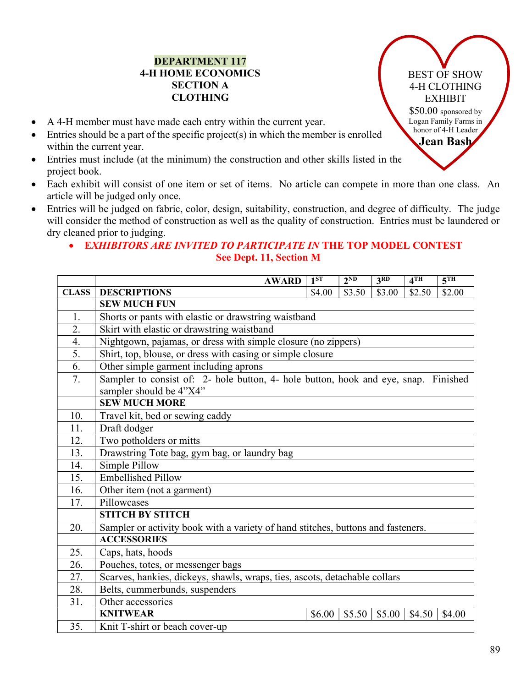## DEPARTMENT 117 4-H HOME ECONOMICS SECTION A CLOTHING

- A 4-H member must have made each entry within the current year.
- Entries should be a part of the specific project(s) in which the member is enrolled within the current year.
- Entries must include (at the minimum) the construction and other skills listed in the project book.
- Each exhibit will consist of one item or set of items. No article can compete in more than one class. An article will be judged only once.
- Entries will be judged on fabric, color, design, suitability, construction, and degree of difficulty. The judge will consider the method of construction as well as the quality of construction. Entries must be laundered or dry cleaned prior to judging.

## • EXHIBITORS ARE INVITED TO PARTICIPATE IN THE TOP MODEL CONTEST See Dept. 11, Section M

|              | <b>AWARD</b>                                                                                                   | 1 <sup>ST</sup> | $2^{ND}$ | 3 <sup>RD</sup> | 4TH    | $\overline{5^{TH}}$ |
|--------------|----------------------------------------------------------------------------------------------------------------|-----------------|----------|-----------------|--------|---------------------|
| <b>CLASS</b> | <b>DESCRIPTIONS</b>                                                                                            | \$4.00          | \$3.50   | \$3.00          | \$2.50 | \$2.00              |
|              | <b>SEW MUCH FUN</b>                                                                                            |                 |          |                 |        |                     |
| 1.           | Shorts or pants with elastic or drawstring waistband                                                           |                 |          |                 |        |                     |
| 2.           | Skirt with elastic or drawstring waistband                                                                     |                 |          |                 |        |                     |
| 4.           | Nightgown, pajamas, or dress with simple closure (no zippers)                                                  |                 |          |                 |        |                     |
| 5.           | Shirt, top, blouse, or dress with casing or simple closure                                                     |                 |          |                 |        |                     |
| 6.           | Other simple garment including aprons                                                                          |                 |          |                 |        |                     |
| 7.           | Sampler to consist of: 2- hole button, 4- hole button, hook and eye, snap. Finished<br>sampler should be 4"X4" |                 |          |                 |        |                     |
|              | <b>SEW MUCH MORE</b>                                                                                           |                 |          |                 |        |                     |
| 10.          | Travel kit, bed or sewing caddy                                                                                |                 |          |                 |        |                     |
| 11.          | Draft dodger                                                                                                   |                 |          |                 |        |                     |
| 12.          | Two potholders or mitts                                                                                        |                 |          |                 |        |                     |
| 13.          | Drawstring Tote bag, gym bag, or laundry bag                                                                   |                 |          |                 |        |                     |
| 14.          | Simple Pillow                                                                                                  |                 |          |                 |        |                     |
| 15.          | <b>Embellished Pillow</b>                                                                                      |                 |          |                 |        |                     |
| 16.          | Other item (not a garment)                                                                                     |                 |          |                 |        |                     |
| 17.          | Pillowcases                                                                                                    |                 |          |                 |        |                     |
|              | <b>STITCH BY STITCH</b>                                                                                        |                 |          |                 |        |                     |
| 20.          | Sampler or activity book with a variety of hand stitches, buttons and fasteners.                               |                 |          |                 |        |                     |
|              | <b>ACCESSORIES</b>                                                                                             |                 |          |                 |        |                     |
| 25.          | Caps, hats, hoods                                                                                              |                 |          |                 |        |                     |
| 26.          | Pouches, totes, or messenger bags                                                                              |                 |          |                 |        |                     |
| 27.          | Scarves, hankies, dickeys, shawls, wraps, ties, ascots, detachable collars                                     |                 |          |                 |        |                     |
| 28.          | Belts, cummerbunds, suspenders                                                                                 |                 |          |                 |        |                     |
| 31.          | Other accessories                                                                                              |                 |          |                 |        |                     |
|              | <b>KNITWEAR</b>                                                                                                | \$6.00          | \$5.50   | \$5.00          | \$4.50 | \$4.00              |
| 35.          | Knit T-shirt or beach cover-up                                                                                 |                 |          |                 |        |                     |

BEST OF SHOW 4-H CLOTHING EXHIBIT \$50.00 sponsored by Logan Family Farms in honor of 4-H Leader Jean Bash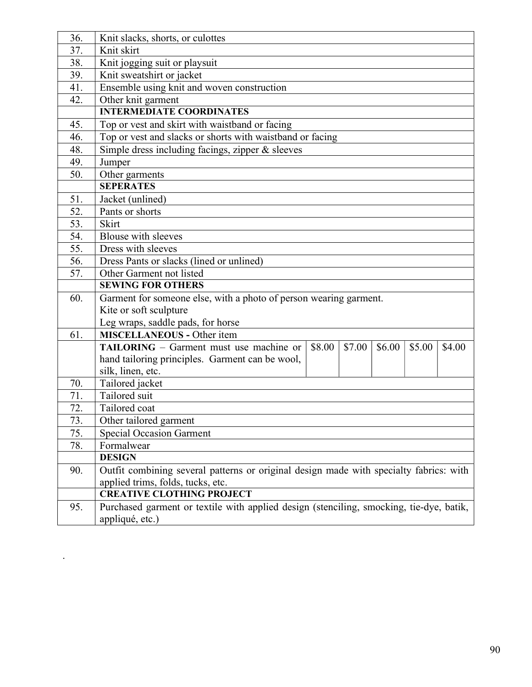| 36. | Knit slacks, shorts, or culottes                                                                 |  |  |  |  |  |  |
|-----|--------------------------------------------------------------------------------------------------|--|--|--|--|--|--|
| 37. | Knit skirt                                                                                       |  |  |  |  |  |  |
| 38. | Knit jogging suit or playsuit                                                                    |  |  |  |  |  |  |
| 39. | Knit sweatshirt or jacket                                                                        |  |  |  |  |  |  |
| 41. | Ensemble using knit and woven construction                                                       |  |  |  |  |  |  |
| 42. | Other knit garment                                                                               |  |  |  |  |  |  |
|     | <b>INTERMEDIATE COORDINATES</b>                                                                  |  |  |  |  |  |  |
| 45. | Top or vest and skirt with waistband or facing                                                   |  |  |  |  |  |  |
| 46. | Top or vest and slacks or shorts with waistband or facing                                        |  |  |  |  |  |  |
| 48. | Simple dress including facings, zipper & sleeves                                                 |  |  |  |  |  |  |
| 49. | Jumper                                                                                           |  |  |  |  |  |  |
| 50. | Other garments                                                                                   |  |  |  |  |  |  |
|     | <b>SEPERATES</b>                                                                                 |  |  |  |  |  |  |
| 51. | Jacket (unlined)                                                                                 |  |  |  |  |  |  |
| 52. | Pants or shorts                                                                                  |  |  |  |  |  |  |
| 53. | Skirt                                                                                            |  |  |  |  |  |  |
| 54. | <b>Blouse with sleeves</b>                                                                       |  |  |  |  |  |  |
| 55. | Dress with sleeves                                                                               |  |  |  |  |  |  |
| 56. | Dress Pants or slacks (lined or unlined)                                                         |  |  |  |  |  |  |
| 57. | Other Garment not listed                                                                         |  |  |  |  |  |  |
|     | <b>SEWING FOR OTHERS</b>                                                                         |  |  |  |  |  |  |
| 60. | Garment for someone else, with a photo of person wearing garment.                                |  |  |  |  |  |  |
|     | Kite or soft sculpture                                                                           |  |  |  |  |  |  |
|     | Leg wraps, saddle pads, for horse                                                                |  |  |  |  |  |  |
| 61. | <b>MISCELLANEOUS - Other item</b>                                                                |  |  |  |  |  |  |
|     | \$7.00<br><b>TAILORING</b> – Garment must use machine or<br>\$8.00<br>\$6.00<br>\$5.00<br>\$4.00 |  |  |  |  |  |  |
|     | hand tailoring principles. Garment can be wool,                                                  |  |  |  |  |  |  |
|     | silk, linen, etc.                                                                                |  |  |  |  |  |  |
| 70. | Tailored jacket                                                                                  |  |  |  |  |  |  |
| 71. | Tailored suit                                                                                    |  |  |  |  |  |  |
| 72. | Tailored coat                                                                                    |  |  |  |  |  |  |
| 73. | Other tailored garment                                                                           |  |  |  |  |  |  |
| 75. | <b>Special Occasion Garment</b>                                                                  |  |  |  |  |  |  |
| 78. | Formalwear                                                                                       |  |  |  |  |  |  |
|     | <b>DESIGN</b>                                                                                    |  |  |  |  |  |  |
| 90. | Outfit combining several patterns or original design made with specialty fabrics: with           |  |  |  |  |  |  |
|     | applied trims, folds, tucks, etc.                                                                |  |  |  |  |  |  |
|     | <b>CREATIVE CLOTHING PROJECT</b>                                                                 |  |  |  |  |  |  |
| 95. | Purchased garment or textile with applied design (stenciling, smocking, tie-dye, batik,          |  |  |  |  |  |  |
|     | appliqué, etc.)                                                                                  |  |  |  |  |  |  |

.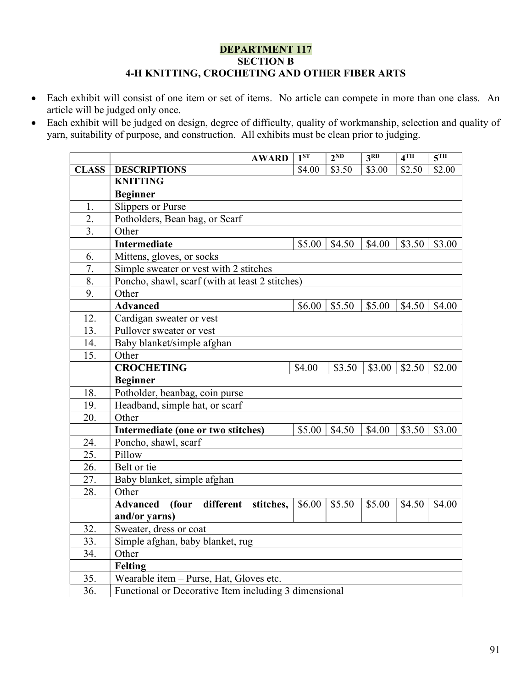### DEPARTMENT 117 SECTION B 4-H KNITTING, CROCHETING AND OTHER FIBER ARTS

- Each exhibit will consist of one item or set of items. No article can compete in more than one class. An article will be judged only once.
- Each exhibit will be judged on design, degree of difficulty, quality of workmanship, selection and quality of yarn, suitability of purpose, and construction. All exhibits must be clean prior to judging.

|              | <b>AWARD</b>                                          | 1 <sup>ST</sup> | $2^{ND}$ | 3 <sup>RD</sup> | 4 <sup>TH</sup> | 5 <sup>TH</sup> |  |
|--------------|-------------------------------------------------------|-----------------|----------|-----------------|-----------------|-----------------|--|
| <b>CLASS</b> | <b>DESCRIPTIONS</b>                                   | \$4.00          | \$3.50   | \$3.00          | \$2.50          | \$2.00          |  |
|              | <b>KNITTING</b>                                       |                 |          |                 |                 |                 |  |
|              | <b>Beginner</b>                                       |                 |          |                 |                 |                 |  |
| 1.           | <b>Slippers or Purse</b>                              |                 |          |                 |                 |                 |  |
| 2.           | Potholders, Bean bag, or Scarf                        |                 |          |                 |                 |                 |  |
| 3.           | Other                                                 |                 |          |                 |                 |                 |  |
|              | Intermediate                                          | \$5.00          | \$4.50   | \$4.00          | \$3.50          | \$3.00          |  |
| 6.           | Mittens, gloves, or socks                             |                 |          |                 |                 |                 |  |
| 7.           | Simple sweater or vest with 2 stitches                |                 |          |                 |                 |                 |  |
| 8.           | Poncho, shawl, scarf (with at least 2 stitches)       |                 |          |                 |                 |                 |  |
| 9.           | Other                                                 |                 |          |                 |                 |                 |  |
|              | <b>Advanced</b>                                       | \$6.00          | \$5.50   | \$5.00          | \$4.50          | \$4.00          |  |
| 12.          | Cardigan sweater or vest                              |                 |          |                 |                 |                 |  |
| 13.          | Pullover sweater or vest                              |                 |          |                 |                 |                 |  |
| 14.          | Baby blanket/simple afghan                            |                 |          |                 |                 |                 |  |
| 15.          | Other                                                 |                 |          |                 |                 |                 |  |
|              | <b>CROCHETING</b>                                     | \$4.00          | \$3.50   | \$3.00          | \$2.50          | \$2.00          |  |
|              | <b>Beginner</b>                                       |                 |          |                 |                 |                 |  |
| 18.          | Potholder, beanbag, coin purse                        |                 |          |                 |                 |                 |  |
| 19.          | Headband, simple hat, or scarf                        |                 |          |                 |                 |                 |  |
| 20.          | Other                                                 |                 |          |                 |                 |                 |  |
|              | Intermediate (one or two stitches)                    | \$5.00          | \$4.50   | \$4.00          | \$3.50          | \$3.00          |  |
| 24.          | Poncho, shawl, scarf                                  |                 |          |                 |                 |                 |  |
| 25.          | Pillow                                                |                 |          |                 |                 |                 |  |
| 26.          | Belt or tie                                           |                 |          |                 |                 |                 |  |
| 27.          | Baby blanket, simple afghan                           |                 |          |                 |                 |                 |  |
| 28.          | Other                                                 |                 |          |                 |                 |                 |  |
|              | different<br><b>Advanced</b><br>(four<br>stitches,    | \$6.00          | \$5.50   | \$5.00          | \$4.50          | \$4.00          |  |
|              | and/or yarns)                                         |                 |          |                 |                 |                 |  |
| 32.          | Sweater, dress or coat                                |                 |          |                 |                 |                 |  |
| 33.          | Simple afghan, baby blanket, rug                      |                 |          |                 |                 |                 |  |
| 34.          | Other                                                 |                 |          |                 |                 |                 |  |
|              | <b>Felting</b>                                        |                 |          |                 |                 |                 |  |
| 35.          | Wearable item - Purse, Hat, Gloves etc.               |                 |          |                 |                 |                 |  |
| 36.          | Functional or Decorative Item including 3 dimensional |                 |          |                 |                 |                 |  |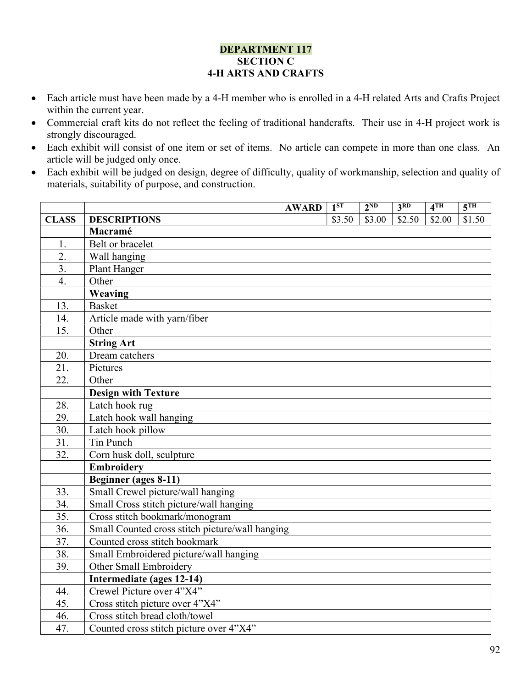### DEPARTMENT 117 SECTION C 4-H ARTS AND CRAFTS

- Each article must have been made by a 4-H member who is enrolled in a 4-H related Arts and Crafts Project within the current year.
- Commercial craft kits do not reflect the feeling of traditional handcrafts. Their use in 4-H project work is strongly discouraged.
- Each exhibit will consist of one item or set of items. No article can compete in more than one class. An article will be judged only once.
- Each exhibit will be judged on design, degree of difficulty, quality of workmanship, selection and quality of materials, suitability of purpose, and construction.

|                   | <b>AWARD</b>                                    | $1^{ST}$ | $2^{ND}$ | 3 <sup>RD</sup> | 4 <sup>TH</sup> | 5 <sup>TH</sup> |
|-------------------|-------------------------------------------------|----------|----------|-----------------|-----------------|-----------------|
| <b>CLASS</b>      | <b>DESCRIPTIONS</b>                             | \$3.50   | \$3.00   | \$2.50          | \$2.00          | \$1.50          |
|                   | Macramé                                         |          |          |                 |                 |                 |
| 1.                | Belt or bracelet                                |          |          |                 |                 |                 |
| $\overline{2}$ .  | Wall hanging                                    |          |          |                 |                 |                 |
| $\overline{3}$ .  | Plant Hanger                                    |          |          |                 |                 |                 |
| $\overline{4}$ .  | Other                                           |          |          |                 |                 |                 |
|                   | Weaving                                         |          |          |                 |                 |                 |
| 13.               | <b>Basket</b>                                   |          |          |                 |                 |                 |
| 14.               | Article made with yarn/fiber                    |          |          |                 |                 |                 |
| 15.               | Other                                           |          |          |                 |                 |                 |
|                   | <b>String Art</b>                               |          |          |                 |                 |                 |
| 20.               | Dream catchers                                  |          |          |                 |                 |                 |
| 21.               | Pictures                                        |          |          |                 |                 |                 |
| 22.               | Other                                           |          |          |                 |                 |                 |
|                   | <b>Design with Texture</b>                      |          |          |                 |                 |                 |
| 28.               | Latch hook rug                                  |          |          |                 |                 |                 |
| 29.               | Latch hook wall hanging                         |          |          |                 |                 |                 |
| $\overline{30}$ . | Latch hook pillow                               |          |          |                 |                 |                 |
| 31.               | Tin Punch                                       |          |          |                 |                 |                 |
| 32.               | Corn husk doll, sculpture                       |          |          |                 |                 |                 |
|                   | <b>Embroidery</b>                               |          |          |                 |                 |                 |
|                   | <b>Beginner</b> (ages 8-11)                     |          |          |                 |                 |                 |
| 33.               | Small Crewel picture/wall hanging               |          |          |                 |                 |                 |
| 34.               | Small Cross stitch picture/wall hanging         |          |          |                 |                 |                 |
| $\overline{35}$ . | Cross stitch bookmark/monogram                  |          |          |                 |                 |                 |
| 36.               | Small Counted cross stitch picture/wall hanging |          |          |                 |                 |                 |
| 37.               | Counted cross stitch bookmark                   |          |          |                 |                 |                 |
| 38.               | Small Embroidered picture/wall hanging          |          |          |                 |                 |                 |
| 39.               | Other Small Embroidery                          |          |          |                 |                 |                 |
|                   | Intermediate (ages 12-14)                       |          |          |                 |                 |                 |
| 44.               | Crewel Picture over 4"X4"                       |          |          |                 |                 |                 |
| 45.               | Cross stitch picture over 4"X4"                 |          |          |                 |                 |                 |
| 46.               | Cross stitch bread cloth/towel                  |          |          |                 |                 |                 |
| 47.               | Counted cross stitch picture over 4"X4"         |          |          |                 |                 |                 |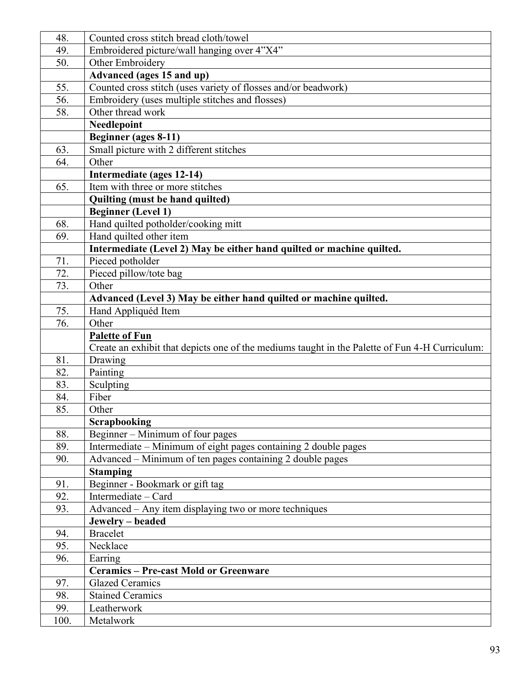| 48.        | Counted cross stitch bread cloth/towel                                                         |
|------------|------------------------------------------------------------------------------------------------|
| 49.        | Embroidered picture/wall hanging over 4"X4"                                                    |
| 50.        | Other Embroidery                                                                               |
|            | Advanced (ages 15 and up)                                                                      |
| 55.        | Counted cross stitch (uses variety of flosses and/or beadwork)                                 |
| 56.        | Embroidery (uses multiple stitches and flosses)                                                |
| 58.        | Other thread work                                                                              |
|            | Needlepoint                                                                                    |
|            | Beginner (ages 8-11)                                                                           |
| 63.        | Small picture with 2 different stitches                                                        |
| 64.        | Other                                                                                          |
|            | Intermediate (ages 12-14)                                                                      |
| 65.        | Item with three or more stitches                                                               |
|            | Quilting (must be hand quilted)                                                                |
|            | <b>Beginner</b> (Level 1)                                                                      |
| 68.        | Hand quilted potholder/cooking mitt                                                            |
| 69.        | Hand quilted other item                                                                        |
|            | Intermediate (Level 2) May be either hand quilted or machine quilted.                          |
| 71.        | Pieced potholder                                                                               |
| 72.        | Pieced pillow/tote bag                                                                         |
| 73.        | Other                                                                                          |
|            | Advanced (Level 3) May be either hand quilted or machine quilted.                              |
| 75.        | Hand Appliquéd Item                                                                            |
| 76.        | Other                                                                                          |
|            | <b>Palette of Fun</b>                                                                          |
|            | Create an exhibit that depicts one of the mediums taught in the Palette of Fun 4-H Curriculum: |
| 81.        | Drawing                                                                                        |
| 82.        | Painting                                                                                       |
| 83.        | Sculpting<br>Fiber                                                                             |
| 84.<br>85. | Other                                                                                          |
|            | <b>Scrapbooking</b>                                                                            |
| 88.        | Beginner - Minimum of four pages                                                               |
| 89.        | Intermediate - Minimum of eight pages containing 2 double pages                                |
| 90.        | Advanced – Minimum of ten pages containing 2 double pages                                      |
|            | <b>Stamping</b>                                                                                |
| 91.        | Beginner - Bookmark or gift tag                                                                |
| 92.        | Intermediate - Card                                                                            |
| 93.        | Advanced – Any item displaying two or more techniques                                          |
|            | Jewelry – beaded                                                                               |
| 94.        | <b>Bracelet</b>                                                                                |
| 95.        | Necklace                                                                                       |
| 96.        | Earring                                                                                        |
|            | <b>Ceramics - Pre-cast Mold or Greenware</b>                                                   |
| 97.        | <b>Glazed Ceramics</b>                                                                         |
| 98.        | <b>Stained Ceramics</b>                                                                        |
| 99.        | Leatherwork                                                                                    |
| 100.       | Metalwork                                                                                      |